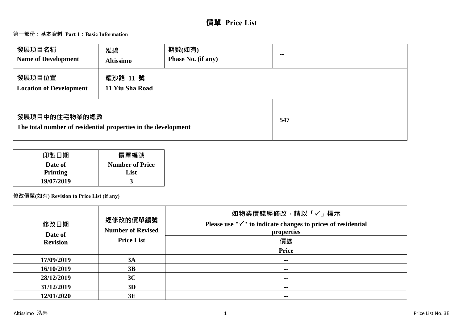# **價單 Price List**

# **第一部份:基本資料 Part 1:Basic Information**

| 發展項目名稱<br><b>Name of Development</b>                                           | 泓碧<br><b>Altissimo</b>      | 期數(如有)<br>Phase No. (if any) | $- -$ |
|--------------------------------------------------------------------------------|-----------------------------|------------------------------|-------|
| 發展項目位置<br><b>Location of Development</b>                                       | 耀沙路 11 號<br>11 Yiu Sha Road |                              |       |
| 發展項目中的住宅物業的總數<br>The total number of residential properties in the development |                             | 547                          |       |

| 印製日期            | 價單編號                   |
|-----------------|------------------------|
| Date of         | <b>Number of Price</b> |
| <b>Printing</b> | List                   |
| 19/07/2019      |                        |

# **修改價單(如有) Revision to Price List (if any)**

| 修改日期<br>Date of | 經修改的價單編號<br><b>Number of Revised</b> | 如物業價錢經修改,請以「✔」標示<br>Please use " $\checkmark$ " to indicate changes to prices of residential<br>properties |
|-----------------|--------------------------------------|------------------------------------------------------------------------------------------------------------|
| <b>Revision</b> | <b>Price List</b>                    | 價錢                                                                                                         |
|                 |                                      | <b>Price</b>                                                                                               |
| 17/09/2019      | 3A                                   | $- -$                                                                                                      |
| 16/10/2019      | 3B                                   | $\sim$                                                                                                     |
| 28/12/2019      | 3C                                   | $\sim$                                                                                                     |
| 31/12/2019      | 3D                                   | --                                                                                                         |
| 12/01/2020      | 3E                                   | $\sim$ $\sim$                                                                                              |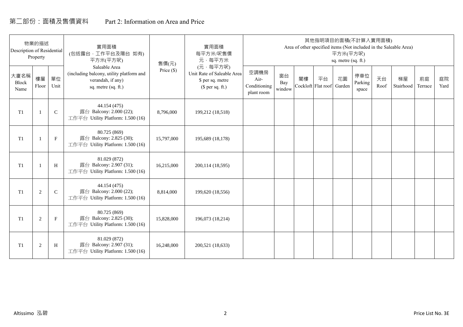# 第二部份:面積及售價資料 Part 2: Information on Area and Price

| Description of Residential | 物業的描述<br>Property |             | 實用面積<br>(包括露台,工作平台及陽台 如有)<br>平方米(平方呎)                                                                 | 售價(元)        | 實用面積<br>每平方米/呎售價<br>元·每平方米                                                     |                                            |                     |    | 其他指明項目的面積(不計算入實用面積)      | 平方米(平方呎)<br>sq. metre (sq. ft.) |                         |            | Area of other specified items (Not included in the Saleable Area) |               |            |
|----------------------------|-------------------|-------------|-------------------------------------------------------------------------------------------------------|--------------|--------------------------------------------------------------------------------|--------------------------------------------|---------------------|----|--------------------------|---------------------------------|-------------------------|------------|-------------------------------------------------------------------|---------------|------------|
| 大廈名稱<br>Block<br>Name      | 樓層<br>Floor       | 單位<br>Unit  | Saleable Area<br>(including balcony, utility platform and<br>verandah, if any)<br>sq. metre (sq. ft.) | Price $(\$)$ | (元·每平方呎)<br>Unit Rate of Saleable Area<br>\$ per sq. metre<br>$$$ per sq. ft.) | 空調機房<br>Air-<br>Conditioning<br>plant room | 窗台<br>Bay<br>window | 閣樓 | 平台<br>Cockloft Flat roof | 花園<br>Garden                    | 停車位<br>Parking<br>space | 天台<br>Roof | 梯屋<br>Stairhood                                                   | 前庭<br>Terrace | 庭院<br>Yard |
| T <sub>1</sub>             |                   | $\mathsf C$ | 44.154 (475)<br>露台 Balcony: 2.000 (22);<br>工作平台 Utility Platform: 1.500 (16)                          | 8,796,000    | 199,212 (18,518)                                                               |                                            |                     |    |                          |                                 |                         |            |                                                                   |               |            |
| T <sub>1</sub>             |                   | $\mathbf F$ | 80.725 (869)<br>露台 Balcony: 2.825 (30);<br>工作平台 Utility Platform: 1.500 (16)                          | 15,797,000   | 195,689 (18,178)                                                               |                                            |                     |    |                          |                                 |                         |            |                                                                   |               |            |
| T <sub>1</sub>             |                   | H           | 81.029 (872)<br>露台 Balcony: 2.907 (31);<br>工作平台 Utility Platform: 1.500 (16)                          | 16,215,000   | 200,114 (18,595)                                                               |                                            |                     |    |                          |                                 |                         |            |                                                                   |               |            |
| T1                         | 2                 | $\mathbf C$ | 44.154 (475)<br>露台 Balcony: 2.000 (22);<br>工作平台 Utility Platform: 1.500 (16)                          | 8,814,000    | 199,620 (18,556)                                                               |                                            |                     |    |                          |                                 |                         |            |                                                                   |               |            |
| T1                         | 2                 | $\mathbf F$ | 80.725 (869)<br>露台 Balcony: 2.825 (30);<br>工作平台 Utility Platform: 1.500 (16)                          | 15,828,000   | 196,073 (18,214)                                                               |                                            |                     |    |                          |                                 |                         |            |                                                                   |               |            |
| T1                         | $\overline{2}$    | H           | 81.029 (872)<br>露台 Balcony: 2.907 (31);<br>工作平台 Utility Platform: 1.500 (16)                          | 16,248,000   | 200,521 (18,633)                                                               |                                            |                     |    |                          |                                 |                         |            |                                                                   |               |            |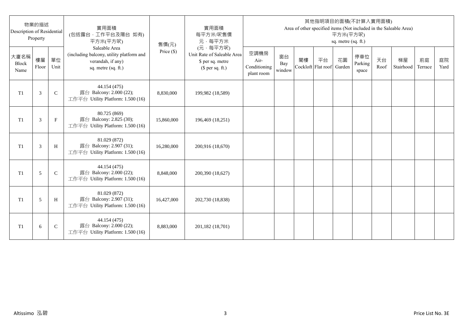| Description of Residential | 物業的描述<br>Property |               | 實用面積<br>(包括露台,工作平台及陽台 如有)<br>平方米(平方呎)                                                                 | 售價(元)      | 實用面積<br>每平方米/呎售價<br>元·每平方米                                                     |                                            |                     |    |                          | 平方米(平方呎)<br>sq. metre (sq. ft.) | 其他指明項目的面積(不計算入實用面積)     |            | Area of other specified items (Not included in the Saleable Area) |               |            |
|----------------------------|-------------------|---------------|-------------------------------------------------------------------------------------------------------|------------|--------------------------------------------------------------------------------|--------------------------------------------|---------------------|----|--------------------------|---------------------------------|-------------------------|------------|-------------------------------------------------------------------|---------------|------------|
| 大廈名稱<br>Block<br>Name      | 樓層<br>Floor       | 單位<br>Unit    | Saleable Area<br>(including balcony, utility platform and<br>verandah, if any)<br>sq. metre (sq. ft.) | Price (\$) | (元·每平方呎)<br>Unit Rate of Saleable Area<br>\$ per sq. metre<br>$$$ per sq. ft.) | 空調機房<br>Air-<br>Conditioning<br>plant room | 窗台<br>Bay<br>window | 閣樓 | 平台<br>Cockloft Flat roof | 花園<br>Garden                    | 停車位<br>Parking<br>space | 天台<br>Roof | 梯屋<br>Stairhood                                                   | 前庭<br>Terrace | 庭院<br>Yard |
| T1                         | 3                 | $\mathsf{C}$  | 44.154 (475)<br>露台 Balcony: 2.000 (22);<br>工作平台 Utility Platform: 1.500 (16)                          | 8,830,000  | 199,982 (18,589)                                                               |                                            |                     |    |                          |                                 |                         |            |                                                                   |               |            |
| T1                         | 3                 | $\mathbf{F}$  | 80.725 (869)<br>露台 Balcony: 2.825 (30);<br>工作平台 Utility Platform: 1.500 (16)                          | 15,860,000 | 196,469 (18,251)                                                               |                                            |                     |    |                          |                                 |                         |            |                                                                   |               |            |
| T1                         | 3                 | H             | 81.029 (872)<br>露台 Balcony: 2.907 (31);<br>工作平台 Utility Platform: 1.500 (16)                          | 16,280,000 | 200,916 (18,670)                                                               |                                            |                     |    |                          |                                 |                         |            |                                                                   |               |            |
| T1                         | 5                 | $\mathcal{C}$ | 44.154 (475)<br>露台 Balcony: 2.000 (22);<br>工作平台 Utility Platform: 1.500 (16)                          | 8,848,000  | 200,390 (18,627)                                                               |                                            |                     |    |                          |                                 |                         |            |                                                                   |               |            |
| T <sub>1</sub>             | 5                 | H             | 81.029 (872)<br>露台 Balcony: 2.907 (31);<br>工作平台 Utility Platform: 1.500 (16)                          | 16,427,000 | 202,730 (18,838)                                                               |                                            |                     |    |                          |                                 |                         |            |                                                                   |               |            |
| T <sub>1</sub>             | 6                 | $\mathsf{C}$  | 44.154 (475)<br>露台 Balcony: 2.000 (22);<br>工作平台 Utility Platform: 1.500 (16)                          | 8,883,000  | 201,182 (18,701)                                                               |                                            |                     |    |                          |                                 |                         |            |                                                                   |               |            |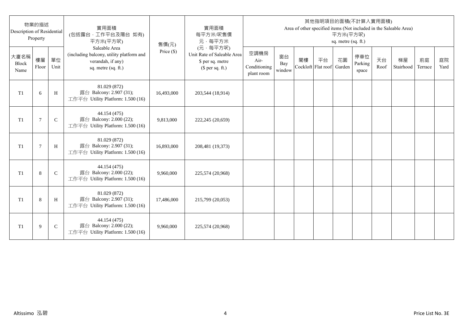| Description of Residential | 物業的描述<br>Property |              | 實用面積<br>(包括露台,工作平台及陽台 如有)<br>平方米(平方呎)                                                                 | 售價(元)      | 實用面積<br>每平方米/呎售價<br>元·每平方米                                                     |                                            |                     |    |                          | 平方米(平方呎)<br>sq. metre (sq. ft.) | 其他指明項目的面積(不計算入實用面積)     |            | Area of other specified items (Not included in the Saleable Area) |               |            |
|----------------------------|-------------------|--------------|-------------------------------------------------------------------------------------------------------|------------|--------------------------------------------------------------------------------|--------------------------------------------|---------------------|----|--------------------------|---------------------------------|-------------------------|------------|-------------------------------------------------------------------|---------------|------------|
| 大廈名稱<br>Block<br>Name      | 樓層<br>Floor       | 單位<br>Unit   | Saleable Area<br>(including balcony, utility platform and<br>verandah, if any)<br>sq. metre (sq. ft.) | Price (\$) | (元·每平方呎)<br>Unit Rate of Saleable Area<br>\$ per sq. metre<br>$$$ per sq. ft.) | 空調機房<br>Air-<br>Conditioning<br>plant room | 窗台<br>Bay<br>window | 閣樓 | 平台<br>Cockloft Flat roof | 花園<br>Garden                    | 停車位<br>Parking<br>space | 天台<br>Roof | 梯屋<br>Stairhood                                                   | 前庭<br>Terrace | 庭院<br>Yard |
| T <sub>1</sub>             | 6                 | H            | 81.029 (872)<br>露台 Balcony: 2.907 (31);<br>工作平台 Utility Platform: 1.500 (16)                          | 16,493,000 | 203,544 (18,914)                                                               |                                            |                     |    |                          |                                 |                         |            |                                                                   |               |            |
| T <sub>1</sub>             | 7                 | $\mathsf{C}$ | 44.154 (475)<br>露台 Balcony: 2.000 (22);<br>工作平台 Utility Platform: 1.500 (16)                          | 9,813,000  | 222,245 (20,659)                                                               |                                            |                     |    |                          |                                 |                         |            |                                                                   |               |            |
| T1                         | $\overline{7}$    | H            | 81.029 (872)<br>露台 Balcony: 2.907 (31);<br>工作平台 Utility Platform: 1.500 (16)                          | 16,893,000 | 208,481 (19,373)                                                               |                                            |                     |    |                          |                                 |                         |            |                                                                   |               |            |
| T1                         | 8                 | $\mathsf{C}$ | 44.154 (475)<br>露台 Balcony: 2.000 (22);<br>工作平台 Utility Platform: 1.500 (16)                          | 9,960,000  | 225,574 (20,968)                                                               |                                            |                     |    |                          |                                 |                         |            |                                                                   |               |            |
| T1                         | 8                 | H            | 81.029 (872)<br>露台 Balcony: 2.907 (31);<br>工作平台 Utility Platform: 1.500 (16)                          | 17,486,000 | 215,799 (20,053)                                                               |                                            |                     |    |                          |                                 |                         |            |                                                                   |               |            |
| T <sub>1</sub>             | 9                 | $\mathsf{C}$ | 44.154 (475)<br>露台 Balcony: 2.000 (22);<br>工作平台 Utility Platform: 1.500 (16)                          | 9,960,000  | 225,574 (20,968)                                                               |                                            |                     |    |                          |                                 |                         |            |                                                                   |               |            |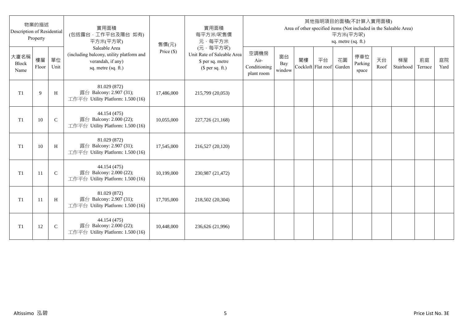| Description of Residential | 物業的描述<br>Property |              | 實用面積<br>(包括露台,工作平台及陽台 如有)<br>平方米(平方呎)                                                                 | 售價(元)      | 實用面積<br>每平方米/呎售價<br>元·每平方米                                                     |                                            |                     |    |                          | 平方米(平方呎)<br>sq. metre (sq. ft.) | 其他指明項目的面積(不計算入實用面積)     |            | Area of other specified items (Not included in the Saleable Area) |               |            |
|----------------------------|-------------------|--------------|-------------------------------------------------------------------------------------------------------|------------|--------------------------------------------------------------------------------|--------------------------------------------|---------------------|----|--------------------------|---------------------------------|-------------------------|------------|-------------------------------------------------------------------|---------------|------------|
| 大廈名稱<br>Block<br>Name      | 樓層<br>Floor       | 單位<br>Unit   | Saleable Area<br>(including balcony, utility platform and<br>verandah, if any)<br>sq. metre (sq. ft.) | Price (\$) | (元·每平方呎)<br>Unit Rate of Saleable Area<br>\$ per sq. metre<br>$$$ per sq. ft.) | 空調機房<br>Air-<br>Conditioning<br>plant room | 窗台<br>Bay<br>window | 閣樓 | 平台<br>Cockloft Flat roof | 花園<br>Garden                    | 停車位<br>Parking<br>space | 天台<br>Roof | 梯屋<br>Stairhood                                                   | 前庭<br>Terrace | 庭院<br>Yard |
| T <sub>1</sub>             | 9                 | H            | 81.029 (872)<br>露台 Balcony: 2.907 (31);<br>工作平台 Utility Platform: 1.500 (16)                          | 17,486,000 | 215,799 (20,053)                                                               |                                            |                     |    |                          |                                 |                         |            |                                                                   |               |            |
| T <sub>1</sub>             | 10                | $\mathsf{C}$ | 44.154 (475)<br>露台 Balcony: 2.000 (22);<br>工作平台 Utility Platform: 1.500 (16)                          | 10,055,000 | 227,726 (21,168)                                                               |                                            |                     |    |                          |                                 |                         |            |                                                                   |               |            |
| T1                         | 10                | H            | 81.029 (872)<br>露台 Balcony: 2.907 (31);<br>工作平台 Utility Platform: 1.500 (16)                          | 17,545,000 | 216,527 (20,120)                                                               |                                            |                     |    |                          |                                 |                         |            |                                                                   |               |            |
| T1                         | 11                | $\mathbf C$  | 44.154 (475)<br>露台 Balcony: 2.000 (22);<br>工作平台 Utility Platform: 1.500 (16)                          | 10,199,000 | 230,987 (21,472)                                                               |                                            |                     |    |                          |                                 |                         |            |                                                                   |               |            |
| T1                         | -11               | H            | 81.029 (872)<br>露台 Balcony: 2.907 (31);<br>工作平台 Utility Platform: 1.500 (16)                          | 17,705,000 | 218,502 (20,304)                                                               |                                            |                     |    |                          |                                 |                         |            |                                                                   |               |            |
| T <sub>1</sub>             | 12                | $\mathsf{C}$ | 44.154 (475)<br>露台 Balcony: 2.000 (22);<br>工作平台 Utility Platform: 1.500 (16)                          | 10,448,000 | 236,626 (21,996)                                                               |                                            |                     |    |                          |                                 |                         |            |                                                                   |               |            |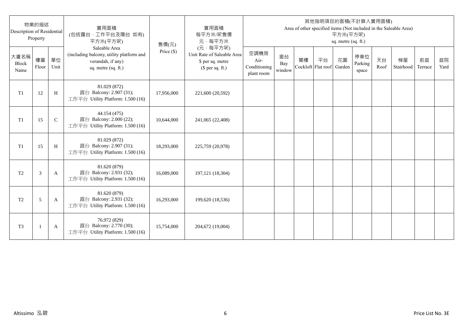| Description of Residential | 物業的描述<br>Property |              | 實用面積<br>(包括露台,工作平台及陽台 如有)<br>平方米(平方呎)                                                                 | 售價(元)      | 實用面積<br>每平方米/呎售價<br>元·每平方米                                                     |                                            |                     |                          |    | 平方米(平方呎)<br>sq. metre (sq. ft.) | 其他指明項目的面積(不計算入實用面積)     |            | Area of other specified items (Not included in the Saleable Area) |               |            |
|----------------------------|-------------------|--------------|-------------------------------------------------------------------------------------------------------|------------|--------------------------------------------------------------------------------|--------------------------------------------|---------------------|--------------------------|----|---------------------------------|-------------------------|------------|-------------------------------------------------------------------|---------------|------------|
| 大廈名稱<br>Block<br>Name      | 樓層<br>Floor       | 單位<br>Unit   | Saleable Area<br>(including balcony, utility platform and<br>verandah, if any)<br>sq. metre (sq. ft.) | Price (\$) | (元·每平方呎)<br>Unit Rate of Saleable Area<br>\$ per sq. metre<br>$$$ per sq. ft.) | 空調機房<br>Air-<br>Conditioning<br>plant room | 窗台<br>Bay<br>window | 閣樓<br>Cockloft Flat roof | 平台 | 花園<br>Garden                    | 停車位<br>Parking<br>space | 天台<br>Roof | 梯屋<br>Stairhood                                                   | 前庭<br>Terrace | 庭院<br>Yard |
| T1                         | 12                | H            | 81.029 (872)<br>露台 Balcony: 2.907 (31);<br>工作平台 Utility Platform: 1.500 (16)                          | 17,956,000 | 221,600 (20,592)                                                               |                                            |                     |                          |    |                                 |                         |            |                                                                   |               |            |
| T1                         | 15                | $\mathsf{C}$ | 44.154 (475)<br>露台 Balcony: 2.000 (22);<br>工作平台 Utility Platform: 1.500 (16)                          | 10,644,000 | 241,065 (22,408)                                                               |                                            |                     |                          |    |                                 |                         |            |                                                                   |               |            |
| T1                         | 15                | H            | 81.029 (872)<br>露台 Balcony: 2.907 (31);<br>工作平台 Utility Platform: 1.500 (16)                          | 18,293,000 | 225,759 (20,978)                                                               |                                            |                     |                          |    |                                 |                         |            |                                                                   |               |            |
| T <sub>2</sub>             | 3                 | A            | 81.620 (879)<br>露台 Balcony: 2.931 (32);<br>工作平台 Utility Platform: 1.500 (16)                          | 16,089,000 | 197, 121 (18, 304)                                                             |                                            |                     |                          |    |                                 |                         |            |                                                                   |               |            |
| T <sub>2</sub>             | 5                 | A            | 81.620 (879)<br>露台 Balcony: 2.931 (32);<br>工作平台 Utility Platform: 1.500 (16)                          | 16,293,000 | 199,620 (18,536)                                                               |                                            |                     |                          |    |                                 |                         |            |                                                                   |               |            |
| T <sub>3</sub>             |                   | A            | 76.972 (829)<br>露台 Balcony: 2.770 (30);<br>工作平台 Utility Platform: 1.500 (16)                          | 15,754,000 | 204,672 (19,004)                                                               |                                            |                     |                          |    |                                 |                         |            |                                                                   |               |            |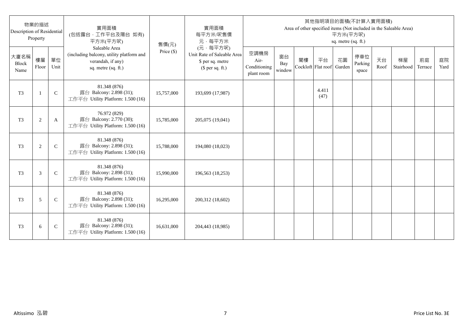| Description of Residential | 物業的描述<br>Property |               | 實用面積<br>(包括露台,工作平台及陽台 如有)<br>平方米(平方呎)                                                                 | 售價(元)      | 實用面積<br>每平方米/呎售價<br>元·每平方米                                                     |                                            |                     |                          |               | 平方米(平方呎)<br>sq. metre (sq. ft.) | 其他指明項目的面積(不計算入實用面積)     |            | Area of other specified items (Not included in the Saleable Area) |               |            |
|----------------------------|-------------------|---------------|-------------------------------------------------------------------------------------------------------|------------|--------------------------------------------------------------------------------|--------------------------------------------|---------------------|--------------------------|---------------|---------------------------------|-------------------------|------------|-------------------------------------------------------------------|---------------|------------|
| 大廈名稱<br>Block<br>Name      | 樓層<br>Floor       | 單位<br>Unit    | Saleable Area<br>(including balcony, utility platform and<br>verandah, if any)<br>sq. metre (sq. ft.) | Price (\$) | (元·每平方呎)<br>Unit Rate of Saleable Area<br>\$ per sq. metre<br>$$$ per sq. ft.) | 空調機房<br>Air-<br>Conditioning<br>plant room | 窗台<br>Bay<br>window | 閣樓<br>Cockloft Flat roof | 平台            | 花園<br>Garden                    | 停車位<br>Parking<br>space | 天台<br>Roof | 梯屋<br>Stairhood                                                   | 前庭<br>Terrace | 庭院<br>Yard |
| T <sub>3</sub>             | $\mathbf{1}$      | $\mathsf{C}$  | 81.348 (876)<br>露台 Balcony: 2.898 (31);<br>工作平台 Utility Platform: 1.500 (16)                          | 15,757,000 | 193,699 (17,987)                                                               |                                            |                     |                          | 4.411<br>(47) |                                 |                         |            |                                                                   |               |            |
| T <sub>3</sub>             | $\sqrt{2}$        | A             | 76.972 (829)<br>露台 Balcony: 2.770 (30);<br>工作平台 Utility Platform: 1.500 (16)                          | 15,785,000 | 205,075 (19,041)                                                               |                                            |                     |                          |               |                                 |                         |            |                                                                   |               |            |
| T <sub>3</sub>             | 2                 | $\mathcal{C}$ | 81.348 (876)<br>露台 Balcony: 2.898 (31);<br>工作平台 Utility Platform: 1.500 (16)                          | 15,788,000 | 194,080 (18,023)                                                               |                                            |                     |                          |               |                                 |                         |            |                                                                   |               |            |
| T <sub>3</sub>             | 3                 | $\mathcal{C}$ | 81.348 (876)<br>露台 Balcony: 2.898 (31);<br>工作平台 Utility Platform: 1.500 (16)                          | 15,990,000 | 196,563 (18,253)                                                               |                                            |                     |                          |               |                                 |                         |            |                                                                   |               |            |
| T <sub>3</sub>             | 5                 | $\mathsf{C}$  | 81.348 (876)<br>露台 Balcony: 2.898 (31);<br>工作平台 Utility Platform: 1.500 (16)                          | 16,295,000 | 200,312 (18,602)                                                               |                                            |                     |                          |               |                                 |                         |            |                                                                   |               |            |
| T <sub>3</sub>             | 6                 | $\mathsf{C}$  | 81.348 (876)<br>露台 Balcony: 2.898 (31);<br>工作平台 Utility Platform: 1.500 (16)                          | 16,631,000 | 204,443 (18,985)                                                               |                                            |                     |                          |               |                                 |                         |            |                                                                   |               |            |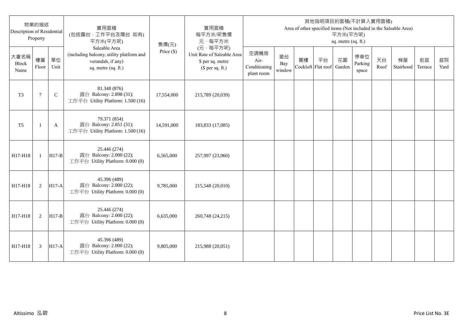| Description of Residential | 物業的描述<br>Property |              | 實用面積<br>(包括露台,工作平台及陽台 如有)<br>平方米(平方呎)                                                                 | 售價(元)        | 實用面積<br>每平方米/呎售價<br>元·每平方米                                                     |                                            |                     |                          |    | 平方米(平方呎)<br>sq. metre (sq. ft.) | 其他指明項目的面積(不計算入實用面積)     |            | Area of other specified items (Not included in the Saleable Area) |               |            |
|----------------------------|-------------------|--------------|-------------------------------------------------------------------------------------------------------|--------------|--------------------------------------------------------------------------------|--------------------------------------------|---------------------|--------------------------|----|---------------------------------|-------------------------|------------|-------------------------------------------------------------------|---------------|------------|
| 大廈名稱<br>Block<br>Name      | 樓層<br>Floor       | 單位<br>Unit   | Saleable Area<br>(including balcony, utility platform and<br>verandah, if any)<br>sq. metre (sq. ft.) | Price $(\$)$ | (元·每平方呎)<br>Unit Rate of Saleable Area<br>\$ per sq. metre<br>$$$ per sq. ft.) | 空調機房<br>Air-<br>Conditioning<br>plant room | 窗台<br>Bay<br>window | 閣樓<br>Cockloft Flat roof | 平台 | 花園<br>Garden                    | 停車位<br>Parking<br>space | 天台<br>Roof | 梯屋<br>Stairhood                                                   | 前庭<br>Terrace | 庭院<br>Yard |
| T <sub>3</sub>             | 7                 | $\mathsf{C}$ | 81.348 (876)<br>露台 Balcony: 2.898 (31);<br>工作平台 Utility Platform: 1.500 (16)                          | 17,554,000   | 215,789 (20,039)                                                               |                                            |                     |                          |    |                                 |                         |            |                                                                   |               |            |
| T <sub>5</sub>             | -1                | A            | 79.371 (854)<br>露台 Balcony: 2.851 (31);<br>工作平台 Utility Platform: 1.500 (16)                          | 14,591,000   | 183,833 (17,085)                                                               |                                            |                     |                          |    |                                 |                         |            |                                                                   |               |            |
| H17-H18                    | $\mathbf{1}$      | $H17-B$      | 25.446 (274)<br>露台 Balcony: 2.000 (22);<br>工作平台 Utility Platform: 0.000 (0)                           | 6,565,000    | 257,997 (23,960)                                                               |                                            |                     |                          |    |                                 |                         |            |                                                                   |               |            |
| H17-H18                    | 2                 | $H17-A$      | 45.396 (489)<br>露台 Balcony: 2.000 (22);<br>工作平台 Utility Platform: 0.000 (0)                           | 9,785,000    | 215,548 (20,010)                                                               |                                            |                     |                          |    |                                 |                         |            |                                                                   |               |            |
| H17-H18                    | 2                 | $H17-B$      | 25.446 (274)<br>露台 Balcony: 2.000 (22);<br>工作平台 Utility Platform: 0.000 (0)                           | 6,635,000    | 260,748 (24,215)                                                               |                                            |                     |                          |    |                                 |                         |            |                                                                   |               |            |
| H17-H18                    | 3                 | $H17-A$      | 45.396 (489)<br>露台 Balcony: 2.000 (22);<br>工作平台 Utility Platform: 0.000 (0)                           | 9,805,000    | 215,988 (20,051)                                                               |                                            |                     |                          |    |                                 |                         |            |                                                                   |               |            |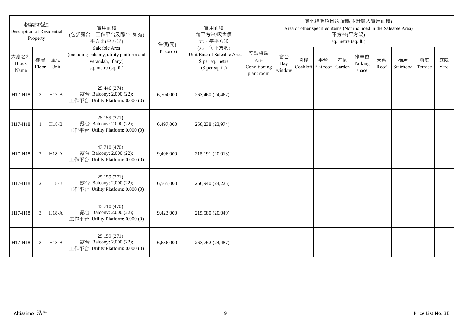| Description of Residential | 物業的描述<br>Property |            | 實用面積<br>(包括露台,工作平台及陽台 如有)<br>平方米(平方呎)                                                                 | 售價(元)        | 實用面積<br>每平方米/呎售價<br>元·每平方米                                                     |                                            |                     |                          |    | 平方米(平方呎)<br>sq. metre (sq. ft.) | 其他指明項目的面積(不計算入實用面積)     |            | Area of other specified items (Not included in the Saleable Area) |               |            |
|----------------------------|-------------------|------------|-------------------------------------------------------------------------------------------------------|--------------|--------------------------------------------------------------------------------|--------------------------------------------|---------------------|--------------------------|----|---------------------------------|-------------------------|------------|-------------------------------------------------------------------|---------------|------------|
| 大廈名稱<br>Block<br>Name      | 樓層<br>Floor       | 單位<br>Unit | Saleable Area<br>(including balcony, utility platform and<br>verandah, if any)<br>sq. metre (sq. ft.) | Price $(\$)$ | (元·每平方呎)<br>Unit Rate of Saleable Area<br>\$ per sq. metre<br>$$$ per sq. ft.) | 空調機房<br>Air-<br>Conditioning<br>plant room | 窗台<br>Bay<br>window | 閣樓<br>Cockloft Flat roof | 平台 | 花園<br>Garden                    | 停車位<br>Parking<br>space | 天台<br>Roof | 梯屋<br>Stairhood                                                   | 前庭<br>Terrace | 庭院<br>Yard |
| H17-H18                    | 3                 | $H17-B$    | 25.446 (274)<br>露台 Balcony: 2.000 (22);<br>工作平台 Utility Platform: 0.000 (0)                           | 6,704,000    | 263,460 (24,467)                                                               |                                            |                     |                          |    |                                 |                         |            |                                                                   |               |            |
| H17-H18                    | $\mathbf{1}$      | $H18-B$    | 25.159 (271)<br>露台 Balcony: 2.000 (22);<br>工作平台 Utility Platform: 0.000 (0)                           | 6,497,000    | 258,238 (23,974)                                                               |                                            |                     |                          |    |                                 |                         |            |                                                                   |               |            |
| H17-H18                    | 2                 | $H18-A$    | 43.710 (470)<br>露台 Balcony: 2.000 (22);<br>工作平台 Utility Platform: 0.000 (0)                           | 9,406,000    | 215,191 (20,013)                                                               |                                            |                     |                          |    |                                 |                         |            |                                                                   |               |            |
| H17-H18                    | 2                 | $H18-B$    | 25.159 (271)<br>露台 Balcony: 2.000 (22);<br>工作平台 Utility Platform: 0.000 (0)                           | 6,565,000    | 260,940 (24,225)                                                               |                                            |                     |                          |    |                                 |                         |            |                                                                   |               |            |
| H17-H18                    | 3                 | $H18-A$    | 43.710 (470)<br>露台 Balcony: 2.000 (22);<br>工作平台 Utility Platform: 0.000 (0)                           | 9,423,000    | 215,580 (20,049)                                                               |                                            |                     |                          |    |                                 |                         |            |                                                                   |               |            |
| H17-H18                    | 3                 | $H18-B$    | 25.159 (271)<br>露台 Balcony: 2.000 (22);<br>工作平台 Utility Platform: 0.000 (0)                           | 6,636,000    | 263,762 (24,487)                                                               |                                            |                     |                          |    |                                 |                         |            |                                                                   |               |            |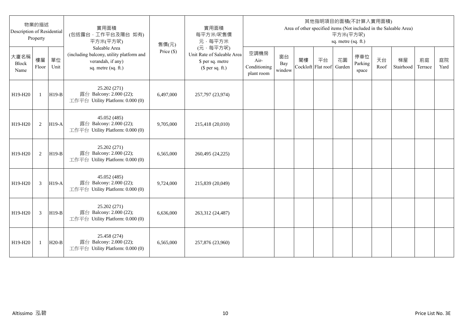| Description of Residential | 物業的描述<br>Property |            | 實用面積<br>(包括露台,工作平台及陽台 如有)<br>平方米(平方呎)                                                                 | 售價(元)      | 實用面積<br>每平方米/呎售價<br>元·每平方米                                                     |                                            |                     |                          |    | 平方米(平方呎)<br>sq. metre (sq. ft.) | 其他指明項目的面積(不計算入實用面積)     |            | Area of other specified items (Not included in the Saleable Area) |               |            |
|----------------------------|-------------------|------------|-------------------------------------------------------------------------------------------------------|------------|--------------------------------------------------------------------------------|--------------------------------------------|---------------------|--------------------------|----|---------------------------------|-------------------------|------------|-------------------------------------------------------------------|---------------|------------|
| 大廈名稱<br>Block<br>Name      | 樓層<br>Floor       | 單位<br>Unit | Saleable Area<br>(including balcony, utility platform and<br>verandah, if any)<br>sq. metre (sq. ft.) | Price (\$) | (元·每平方呎)<br>Unit Rate of Saleable Area<br>\$ per sq. metre<br>$$$ per sq. ft.) | 空調機房<br>Air-<br>Conditioning<br>plant room | 窗台<br>Bay<br>window | 閣樓<br>Cockloft Flat roof | 平台 | 花園<br>Garden                    | 停車位<br>Parking<br>space | 天台<br>Roof | 梯屋<br>Stairhood                                                   | 前庭<br>Terrace | 庭院<br>Yard |
| H19-H20                    | $\mathbf{1}$      | $H19-B$    | 25.202 (271)<br>露台 Balcony: 2.000 (22);<br>工作平台 Utility Platform: 0.000 (0)                           | 6,497,000  | 257,797 (23,974)                                                               |                                            |                     |                          |    |                                 |                         |            |                                                                   |               |            |
| H19-H20                    | 2                 | $H19-A$    | 45.052 (485)<br>露台 Balcony: 2.000 (22);<br>工作平台 Utility Platform: 0.000 (0)                           | 9,705,000  | 215,418 (20,010)                                                               |                                            |                     |                          |    |                                 |                         |            |                                                                   |               |            |
| H19-H20                    | 2                 | $H19-B$    | 25.202 (271)<br>露台 Balcony: 2.000 (22);<br>工作平台 Utility Platform: 0.000 (0)                           | 6,565,000  | 260,495 (24,225)                                                               |                                            |                     |                          |    |                                 |                         |            |                                                                   |               |            |
| H19-H20                    | 3                 | $H19-A$    | 45.052 (485)<br>露台 Balcony: 2.000 (22);<br>工作平台 Utility Platform: 0.000 (0)                           | 9,724,000  | 215,839 (20,049)                                                               |                                            |                     |                          |    |                                 |                         |            |                                                                   |               |            |
| H19-H20                    | 3                 | $H19-B$    | 25.202 (271)<br>露台 Balcony: 2.000 (22);<br>工作平台 Utility Platform: 0.000 (0)                           | 6,636,000  | 263,312 (24,487)                                                               |                                            |                     |                          |    |                                 |                         |            |                                                                   |               |            |
| H19-H20                    | 1                 | $H20-B$    | 25.458 (274)<br>露台 Balcony: 2.000 (22);<br>工作平台 Utility Platform: 0.000 (0)                           | 6,565,000  | 257,876 (23,960)                                                               |                                            |                     |                          |    |                                 |                         |            |                                                                   |               |            |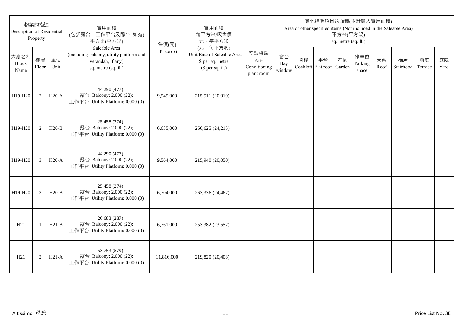| 物業的描述<br>Description of Residential<br>Property |                |            | 實用面積<br>(包括露台,工作平台及陽台 如有)<br>平方米(平方呎)                                                                 | 售價(元)        | 實用面積<br>每平方米/呎售價<br>元·每平方米                                                     | 其他指明項目的面積(不計算入實用面積)<br>Area of other specified items (Not included in the Saleable Area)<br>平方米(平方呎)<br>sq. metre (sq. ft.) |                     |                          |    |              |                         |            |                 |               |            |
|-------------------------------------------------|----------------|------------|-------------------------------------------------------------------------------------------------------|--------------|--------------------------------------------------------------------------------|-----------------------------------------------------------------------------------------------------------------------------|---------------------|--------------------------|----|--------------|-------------------------|------------|-----------------|---------------|------------|
| 大廈名稱<br>Block<br>Name                           | 樓層<br>Floor    | 單位<br>Unit | Saleable Area<br>(including balcony, utility platform and<br>verandah, if any)<br>sq. metre (sq. ft.) | Price $(\$)$ | (元·每平方呎)<br>Unit Rate of Saleable Area<br>\$ per sq. metre<br>$$$ per sq. ft.) | 空調機房<br>Air-<br>Conditioning<br>plant room                                                                                  | 窗台<br>Bay<br>window | 閣樓<br>Cockloft Flat roof | 平台 | 花園<br>Garden | 停車位<br>Parking<br>space | 天台<br>Roof | 梯屋<br>Stairhood | 前庭<br>Terrace | 庭院<br>Yard |
| H19-H20                                         | 2              | $H20-A$    | 44.290 (477)<br>露台 Balcony: 2.000 (22);<br>工作平台 Utility Platform: 0.000 (0)                           | 9,545,000    | 215,511 (20,010)                                                               |                                                                                                                             |                     |                          |    |              |                         |            |                 |               |            |
| H19-H20                                         | 2              | $H20-B$    | 25.458 (274)<br>露台 Balcony: 2.000 (22);<br>工作平台 Utility Platform: 0.000 (0)                           | 6,635,000    | 260,625 (24,215)                                                               |                                                                                                                             |                     |                          |    |              |                         |            |                 |               |            |
| H19-H20                                         | 3              | $H20-A$    | 44.290 (477)<br>露台 Balcony: 2.000 (22);<br>工作平台 Utility Platform: 0.000 (0)                           | 9,564,000    | 215,940 (20,050)                                                               |                                                                                                                             |                     |                          |    |              |                         |            |                 |               |            |
| H19-H20                                         | $\overline{3}$ | $H20-B$    | 25.458 (274)<br>露台 Balcony: 2.000 (22);<br>工作平台 Utility Platform: 0.000 (0)                           | 6,704,000    | 263,336 (24,467)                                                               |                                                                                                                             |                     |                          |    |              |                         |            |                 |               |            |
| H21                                             | $\mathbf{1}$   | $H21-B$    | 26.683 (287)<br>露台 Balcony: 2.000 (22);<br>工作平台 Utility Platform: 0.000 (0)                           | 6,761,000    | 253,382 (23,557)                                                               |                                                                                                                             |                     |                          |    |              |                         |            |                 |               |            |
| H21                                             | 2              | $H21-A$    | 53.753 (579)<br>露台 Balcony: 2.000 (22);<br>工作平台 Utility Platform: 0.000 (0)                           | 11,816,000   | 219,820 (20,408)                                                               |                                                                                                                             |                     |                          |    |              |                         |            |                 |               |            |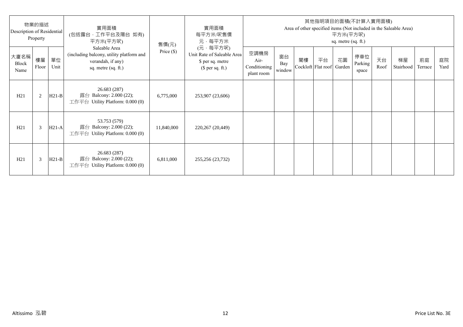| 物業的描述<br>Description of Residential<br>Property |             |            | 實用面積<br>(包括露台·工作平台及陽台 如有)<br>平方米(平方呎)                                                                 | 售價(元)        | 實用面積<br>每平方米/呎售價<br>元·每平方米                                                     | 其他指明項目的面積(不計算入實用面積)<br>Area of other specified items (Not included in the Saleable Area)<br>平方米(平方呎)<br>sq. metre (sq. ft.) |                     |    |                                 |    |                         |            |                 |               |            |
|-------------------------------------------------|-------------|------------|-------------------------------------------------------------------------------------------------------|--------------|--------------------------------------------------------------------------------|-----------------------------------------------------------------------------------------------------------------------------|---------------------|----|---------------------------------|----|-------------------------|------------|-----------------|---------------|------------|
| 大廈名稱<br>Block<br>Name                           | 樓層<br>Floor | 單位<br>Unit | Saleable Area<br>(including balcony, utility platform and<br>verandah, if any)<br>sq. metre (sq. ft.) | Price $(\$)$ | (元·每平方呎)<br>Unit Rate of Saleable Area<br>\$ per sq. metre<br>$$$ per sq. ft.) | 空調機房<br>Air-<br>Conditioning<br>plant room                                                                                  | 窗台<br>Bay<br>window | 閣樓 | 平台<br>Cockloft Flat roof Garden | 花園 | 停車位<br>Parking<br>space | 天台<br>Roof | 梯屋<br>Stairhood | 前庭<br>Terrace | 庭院<br>Yard |
| H21                                             | 2           | $H21-B$    | 26.683 (287)<br>露台 Balcony: 2.000 (22);<br>工作平台 Utility Platform: $0.000(0)$                          | 6,775,000    | 253,907 (23,606)                                                               |                                                                                                                             |                     |    |                                 |    |                         |            |                 |               |            |
| H21                                             | 3           | $H21-A$    | 53.753 (579)<br>露台 Balcony: 2.000 (22);<br>工作平台 Utility Platform: 0.000 (0)                           | 11,840,000   | 220,267 (20,449)                                                               |                                                                                                                             |                     |    |                                 |    |                         |            |                 |               |            |
| H21                                             | 3           | $H21-B$    | 26.683 (287)<br>露台 Balcony: 2.000 (22);<br>工作平台 Utility Platform: $0.000(0)$                          | 6,811,000    | 255,256 (23,732)                                                               |                                                                                                                             |                     |    |                                 |    |                         |            |                 |               |            |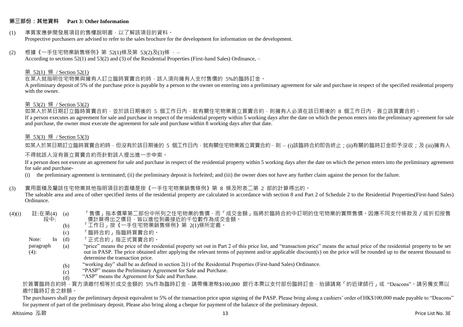#### **第三部份:其他資料 Part 3: Other Information**

#### (1) 準買家應參閱發展項目的售樓說明書,以了解該項目的資料。 Prospective purchasers are advised to refer to the sales brochure for the development for information on the development.

#### $(2)$  根據《一手住宅物業銷售條例》第 52(1)條及第 53(2)及(3)條,

According to sections 52(1) and 53(2) and (3) of the Residential Properties (First-hand Sales) Ordinance, –

#### 第 52(1) 條 / Section 52(1)

在某人就指明住宅物業與擁有人訂立臨時買賣合約時,該人須向擁有人支付售價的 5%的臨時訂金。

A preliminary deposit of 5% of the purchase price is payable by a person to the owner on entering into a preliminary agreement for sale and purchase in respect of the specified residential property with the owner.

#### 第 53(2) 條 / Section 53(2)

—————————————<br>如某人於某日期訂立臨時買賣合約,並於該日期後的 5 個工作日內,就有關住宅物業簽立買賣合約,則擁有人必須在該日期後的 8 個工作日內,簽立該買賣合約。 If a person executes an agreement for sale and purchase in respect of the residential property within 5 working days after the date on which the person enters into the preliminary agreement for sale and purchase, the owner must execute the agreement for sale and purchase within 8 working days after that date.

### 第 53(3) 條 / Section 53(3)

如某人於某日期訂立臨時買賣合約時,但沒有於該日期後的 5 個工作日內,就有關住宅物業簽立買賣合約,則 – (i)該臨時合約即告終止;(ii)有關的臨時訂金即予沒收;及 (iii)擁有人

#### 不得就該人沒有簽立買賣合約而針對該人提出進一步申索。

If a person does not execute an agreement for sale and purchase in respect of the residential property within 5 working days after the date on which the person enters into the preliminary agreement for sale and purchase-

(i) the preliminary agreement is terminated; (ii) the preliminary deposit is forfeited; and (iii) the owner does not have any further claim against the person for the failure.

#### (3) 實用面積及屬該住宅物業其他指明項目的面積是按《一手住宅物業銷售條例》第 8 條及附表二第 2 部的計算得出的。

The saleable area and area of other specified items of the residential property are calculated in accordance with section 8 and Part 2 of Schedule 2 to the Residential Properties(First-hand Sales) Ordinance.

#### $(4)(i)$  註:在第 $(4)$   $(a)$ 段中: 「售價」指本價單第二部份中所列之住宅物業的售價,而「成交金額」指將於臨時合約中訂明的住宅物業的實際售價。因應不同支付條款及/或折扣按售 價計算得出之價目,皆以進位到最接近的千位數作為成交金額。

- (b) 「工作日」按《一手住宅物業銷售條例》第 2(1)條所定義。
- (c) 「臨時合約」指臨時買賣合約。
- Note:  $In (d)$ 「正式合約」指正式買賣合約。
- paragraph  $(4)$ : (a) "price" means the price of the residential property set out in Part 2 of this price list, and "transaction price" means the actual price of the residential property to be set out in PASP. The price obtained after applying the relevant terms of payment and/or applicable discount(s) on the price will be rounded up to the nearest thousand to determine the transaction price.
	- (b) "working day" shall be as defined in section 2(1) of the Residential Properties (First-hand Sales) Ordinance.
	- $(c)$ "PASP" means the Preliminary Agreement for Sale and Purchase.
	- (d) "ASP" means the Agreement for Sale and Purchase.

於簽署臨時合約時,買方須繳付相等於成交金額的 5%作為臨時訂金,請帶備港幣\$100,000 銀行本票以支付部份臨時訂金,抬頭請寫「的近律師行」或"Deacons"。請另備支票以 繳付臨時訂金之餘額。

The purchasers shall pay the preliminary deposit equivalent to 5% of the transaction price upon signing of the PASP. Please bring along a cashiers' order of HK\$100,000 made payable to "Deacons" for payment of part of the preliminary deposit. Please also bring along a cheque for payment of the balance of the preliminary deposit.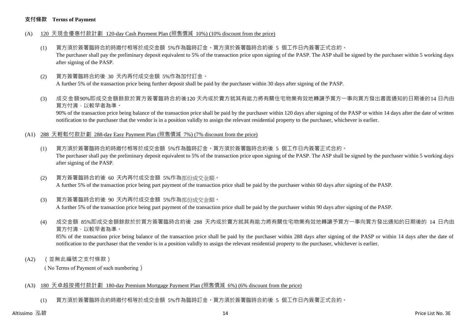#### **支付條款 Terms of Payment**

- (A) 120 天現金優惠付款計劃 120-day Cash Payment Plan (照售價減 10%) (10% discount from the price)
	- (1) 買方須於簽署臨時合約時繳付相等於成交金額 5%作為臨時訂金。買方須於簽署臨時合約後 5 個工作日內簽署正式合約。 The purchaser shall pay the preliminary deposit equivalent to 5% of the transaction price upon signing of the PASP. The ASP shall be signed by the purchaser within 5 working days after signing of the PASP.
	- (2) 買方簽署臨時合約後 30 天內再付成交金額 5%作為加付訂金。 A further 5% of the transaction price being further deposit shall be paid by the purchaser within 30 days after signing of the PASP.
	- (3) 成交金額90%即成交金額餘款於買方簽署臨時合約後120 天內或於賣方就其有能力將有關住宅物業有效地轉讓予買方一事向買方發出書面通知的日期後的14 日內由 買方付清,以較早者為準。

90% of the transaction price being balance of the transaction price shall be paid by the purchaser within 120 days after signing of the PASP or within 14 days after the date of written notification to the purchaser that the vendor is in a position validly to assign the relevant residential property to the purchaser, whichever is earlier.

- (A1) 288 天輕鬆付款計劃 288-day Easy Payment Plan (照售價減 7%) (7% discount from the price)
	- (1) 買方須於簽署臨時合約時繳付相等於成交金額 5%作為臨時訂金。買方須於簽署臨時合約後 5 個工作日內簽署正式合約。 The purchaser shall pay the preliminary deposit equivalent to 5% of the transaction price upon signing of the PASP. The ASP shall be signed by the purchaser within 5 working days after signing of the PASP.
	- (2) 買方簽署臨時合約後 60 天內再付成交金額 5%作為部份成交金額。 A further 5% of the transaction price being part payment of the transaction price shall be paid by the purchaser within 60 days after signing of the PASP.
	- (3) 買方簽署臨時合約後 90 天內再付成交金額 5%作為部份成交金額。

A further 5% of the transaction price being part payment of the transaction price shall be paid by the purchaser within 90 days after signing of the PASP.

(4) 成交金額 85%即成交金額餘款於於買方簽署臨時合約後 288 天內或於賣方就其有能力將有關住宅物業有效地轉讓予買方一事向買方發出通知的日期後的 14 日內由 買方付清,以較早者為準。

85% of the transaction price being balance of the transaction price shall be paid by the purchaser within 288 days after signing of the PASP or within 14 days after the date of notification to the purchaser that the vendor is in a position validly to assign the relevant residential property to the purchaser, whichever is earlier.

(A2) (並無此編號之支付條款)

( No Terms of Payment of such numbering)

#### (A3) 180 天卓越按揭付款計劃 180-day Premium Mortgage Payment Plan (照售價減 6%) (6% discount from the price)

(1) 買方須於簽署臨時合約時繳付相等於成交金額 5%作為臨時訂金。買方須於簽署臨時合約後 5 個工作日內簽署正式合約。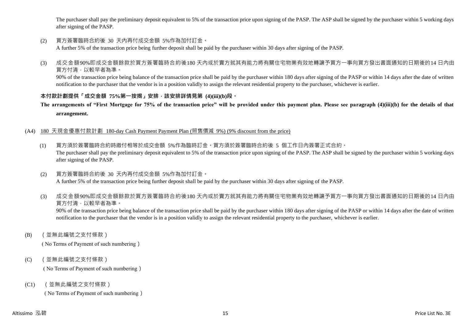The purchaser shall pay the preliminary deposit equivalent to 5% of the transaction price upon signing of the PASP. The ASP shall be signed by the purchaser within 5 working days after signing of the PASP.

(2) 買方簽署臨時合約後 30 天內再付成交金額 5%作為加付訂金。

A further 5% of the transaction price being further deposit shall be paid by the purchaser within 30 days after signing of the PASP.

(3) 成交金額90%即成交金額餘款於買方簽署臨時合約後180 天內或於賣方就其有能力將有關住宅物業有效地轉讓予買方一事向買方發出書面通知的日期後的14 日內由 買方付清,以較早者為準。

90% of the transaction price being balance of the transaction price shall be paid by the purchaser within 180 days after signing of the PASP or within 14 days after the date of written notification to the purchaser that the vendor is in a position validly to assign the relevant residential property to the purchaser, whichever is earlier.

# **本付款計劃提供「成交金額 75%第一按揭」安排,該安排詳情見第 (4)(iii)(b)段。**

**The arrangements of "First Mortgage for 75% of the transaction price" will be provided under this payment plan. Please see paragraph (4)(iii)(b) for the details of that arrangement.**

### (A4) 180 天現金優惠付款計劃 180-day Cash Payment Payment Plan (照售價減 9%) (9% discount from the price)

- (1) 買方須於簽署臨時合約時繳付相等於成交金額 5%作為臨時訂金。買方須於簽署臨時合約後 5 個工作日內簽署正式合約。 The purchaser shall pay the preliminary deposit equivalent to 5% of the transaction price upon signing of the PASP. The ASP shall be signed by the purchaser within 5 working days after signing of the PASP.
- (2) 買方簽署臨時合約後 30 天內再付成交金額 5%作為加付訂金。 A further 5% of the transaction price being further deposit shall be paid by the purchaser within 30 days after signing of the PASP.
- (3) 成交金額90%即成交金額餘款於買方簽署臨時合約後180 天內或於賣方就其有能力將有關住宅物業有效地轉讓予買方一事向買方發出書面通知的日期後的14 日內由 買方付清,以較早者為準。

90% of the transaction price being balance of the transaction price shall be paid by the purchaser within 180 days after signing of the PASP or within 14 days after the date of written notification to the purchaser that the vendor is in a position validly to assign the relevant residential property to the purchaser, whichever is earlier.

(B) (並無此編號之支付條款)

( No Terms of Payment of such numbering)

(C) (並無此編號之支付條款)

( No Terms of Payment of such numbering)

(C1) (並無此編號之支付條款)

( No Terms of Payment of such numbering)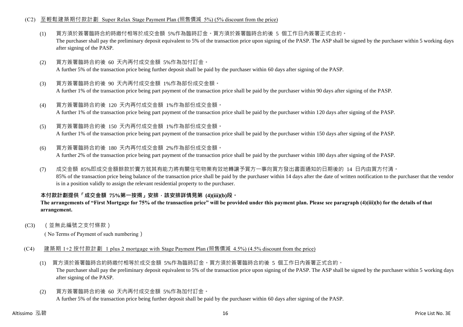#### (C2) 至輕鬆建築期付款計劃 Super Relax Stage Payment Plan (照售價減 5%) (5% discount from the price)

- (1) 買方須於簽署臨時合約時繳付相等於成交金額 5%作為臨時訂金。買方須於簽署臨時合約後 5 個工作日內簽署正式合約。 The purchaser shall pay the preliminary deposit equivalent to 5% of the transaction price upon signing of the PASP. The ASP shall be signed by the purchaser within 5 working days after signing of the PASP.
- (2) 買方簽署臨時合約後 60 天內再付成交金額 5%作為加付訂金。 A further 5% of the transaction price being further deposit shall be paid by the purchaser within 60 days after signing of the PASP.
- (3) 買方簽署臨時合約後 90 天內再付成交金額 1%作為部份成交金額。 A further 1% of the transaction price being part payment of the transaction price shall be paid by the purchaser within 90 days after signing of the PASP.
- (4) 買方簽署臨時合約後 120 天內再付成交金額 1%作為部份成交金額。 A further 1% of the transaction price being part payment of the transaction price shall be paid by the purchaser within 120 days after signing of the PASP.
- (5) 買方簽署臨時合約後 150 天內再付成交金額 1%作為部份成交金額。

A further 1% of the transaction price being part payment of the transaction price shall be paid by the purchaser within 150 days after signing of the PASP.

- (6) 買方簽署臨時合約後 180 天內再付成交金額 2%作為部份成交金額。 A further 2% of the transaction price being part payment of the transaction price shall be paid by the purchaser within 180 days after signing of the PASP.
- (7) 成交金額 85%即成交金額餘款於賣方就其有能力將有關住宅物業有效地轉讓予買方一事向買方發出書面通知的日期後的 14 日內由買方付清。 85% of the transaction price being balance of the transaction price shall be paid by the purchaser within 14 days after the date of written notification to the purchaser that the vendor is in a position validly to assign the relevant residential property to the purchaser.

# **本付款計劃提供「成交金額 75%第一按揭」安排,該安排詳情見第 (4)(iii)(b)段。**

#### **The arrangements of "First Mortgage for 75% of the transaction price" will be provided under this payment plan. Please see paragraph (4)(iii)(b) for the details of that arrangement.**

(C3) (並無此編號之支付條款)

( No Terms of Payment of such numbering)

- (C4) 建築期 1+2 按付款計劃 1 plus 2 mortgage with Stage Payment Plan (照售價減 4.5%) (4.5% discount from the price)
	- (1) 買方須於簽署臨時合約時繳付相等於成交金額 5%作為臨時訂金。買方須於簽署臨時合約後 5 個工作日內簽署正式合約。 The purchaser shall pay the preliminary deposit equivalent to 5% of the transaction price upon signing of the PASP. The ASP shall be signed by the purchaser within 5 working days after signing of the PASP.
	- (2) 買方簽署臨時合約後 60 天內再付成交金額 5%作為加付訂金。 A further 5% of the transaction price being further deposit shall be paid by the purchaser within 60 days after signing of the PASP.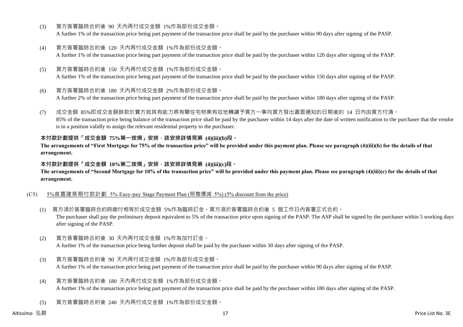- (3) 買方簽署臨時合約後 90 天內再付成交金額 1%作為部份成交金額。 A further 1% of the transaction price being part payment of the transaction price shall be paid by the purchaser within 90 days after signing of the PASP.
- (4) 買方簽署臨時合約後 120 天內再付成交金額 1%作為部份成交金額。 A further 1% of the transaction price being part payment of the transaction price shall be paid by the purchaser within 120 days after signing of the PASP.
- (5) 買方簽署臨時合約後 150 天內再付成交金額 1%作為部份成交金額。 A further 1% of the transaction price being part payment of the transaction price shall be paid by the purchaser within 150 days after signing of the PASP.
- (6) 買方簽署臨時合約後 180 天內再付成交金額 2%作為部份成交金額。

A further 2% of the transaction price being part payment of the transaction price shall be paid by the purchaser within 180 days after signing of the PASP.

(7) 成交金額 85%即成交金額餘款於賣方就其有能力將有關住宅物業有效地轉讓予買方一事向買方發出書面通知的日期後的 14 日內由買方付清。 85% of the transaction price being balance of the transaction price shall be paid by the purchaser within 14 days after the date of written notification to the purchaser that the vendor is in a position validly to assign the relevant residential property to the purchaser.

### **本付款計劃提供「成交金額 75%第一按揭」安排,該安排詳情見第 (4)(iii)(b)段。**

**The arrangements of "First Mortgage for 75% of the transaction price" will be provided under this payment plan. Please see paragraph (4)(iii)(b) for the details of that arrangement.**

#### **本付款計劃提供「成交金額 10%第二按揭」安排,該安排詳情見第 (4)(iii)(c)段。**

**The arrangements of "Second Mortgage for 10% of the transaction price" will be provided under this payment plan. Please see paragraph (4)(iii)(c) for the details of that arrangement.**

#### (C5) 5%首置建築期付款計劃 5% Easy-pay Stage Payment Plan (照售價減 5%) (5% discount from the price)

- (1) 買方須於簽署臨時合約時繳付相等於成交金額 5%作為臨時訂金。買方須於簽署臨時合約後 5 個工作日內簽署正式合約。 The purchaser shall pay the preliminary deposit equivalent to 5% of the transaction price upon signing of the PASP. The ASP shall be signed by the purchaser within 5 working days after signing of the PASP.
- (2) 買方簽署臨時合約後 30 天內再付成交金額 1%作為加付訂金。 A further 1% of the transaction price being further deposit shall be paid by the purchaser within 30 days after signing of the PASP.
- (3) 買方簽署臨時合約後 90 天內再付成交金額 1%作為部份成交金額。 A further 1% of the transaction price being part payment of the transaction price shall be paid by the purchaser within 90 days after signing of the PASP.
- (4) 買方簽署臨時合約後 180 天內再付成交金額 1%作為部份成交金額。 A further 1% of the transaction price being part payment of the transaction price shall be paid by the purchaser within 180 days after signing of the PASP.
- (5) 買方簽署臨時合約後 240 天內再付成交金額 1%作為部份成交金額。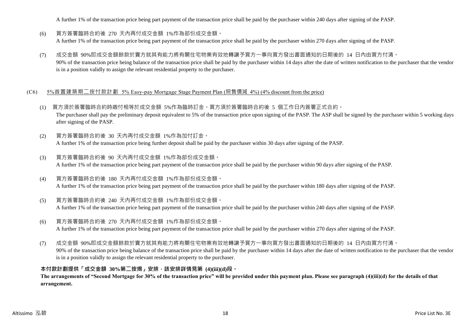A further 1% of the transaction price being part payment of the transaction price shall be paid by the purchaser within 240 days after signing of the PASP.

- (6) 買方簽署臨時合約後 270 天內再付成交金額 1%作為部份成交金額。 A further 1% of the transaction price being part payment of the transaction price shall be paid by the purchaser within 270 days after signing of the PASP.
- (7) 成交金額 90%即成交金額餘款於賣方就其有能力將有關住宅物業有效地轉讓予買方一事向買方發出書面通知的日期後的 14 日內由買方付清。 90% of the transaction price being balance of the transaction price shall be paid by the purchaser within 14 days after the date of written notification to the purchaser that the vendor is in a position validly to assign the relevant residential property to the purchaser.

#### (C6) 5%首置建築期二按付款計劃 5% Easy-pay Mortgage Stage Payment Plan (照售價減 4%) (4% discount from the price)

- (1) 買方須於簽署臨時合約時繳付相等於成交金額 5%作為臨時訂金。買方須於簽署臨時合約後 5 個工作日內簽署正式合約。 The purchaser shall pay the preliminary deposit equivalent to 5% of the transaction price upon signing of the PASP. The ASP shall be signed by the purchaser within 5 working days after signing of the PASP.
- (2) 買方簽署臨時合約後 30 天內再付成交金額 1%作為加付訂金。 A further 1% of the transaction price being further deposit shall be paid by the purchaser within 30 days after signing of the PASP.
- (3) 買方簽署臨時合約後 90 天內再付成交金額 1%作為部份成交金額。 A further 1% of the transaction price being part payment of the transaction price shall be paid by the purchaser within 90 days after signing of the PASP.
- (4) 買方簽署臨時合約後 180 天內再付成交金額 1%作為部份成交金額。 A further 1% of the transaction price being part payment of the transaction price shall be paid by the purchaser within 180 days after signing of the PASP.
- (5) 買方簽署臨時合約後 240 天內再付成交金額 1%作為部份成交金額。 A further 1% of the transaction price being part payment of the transaction price shall be paid by the purchaser within 240 days after signing of the PASP.
- (6) 買方簽署臨時合約後 270 天內再付成交金額 1%作為部份成交金額。 A further 1% of the transaction price being part payment of the transaction price shall be paid by the purchaser within 270 days after signing of the PASP.
- (7) 成交金額 90%即成交金額餘款於賣方就其有能力將有關住宅物業有效地轉讓予買方一事向買方發出書面通知的日期後的 14 日內由買方付清。 90% of the transaction price being balance of the transaction price shall be paid by the purchaser within 14 days after the date of written notification to the purchaser that the vendor is in a position validly to assign the relevant residential property to the purchaser.

#### **本付款計劃提供「成交金額 30%第二按揭」安排,該安排詳情見第 (4)(iii)(d)段。**

**The arrangements of "Second Mortgage for 30% of the transaction price" will be provided under this payment plan. Please see paragraph (4)(iii)(d) for the details of that arrangement.**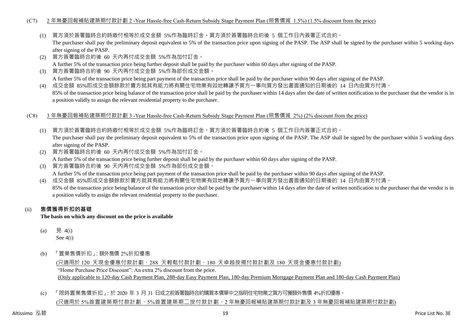#### (C7) 2 年無憂回報補貼建築期付款計劃 2 -Year Hassle-free Cash-Return Subsidy Stage Payment Plan (照售價減 1.5%) (1.5% discount from the price)

(1) 買方須於簽署臨時合約時繳付相等於成交金額 5%作為臨時訂金。買方須於簽署臨時合約後 5 個工作日內簽署正式合約。

The purchaser shall pay the preliminary deposit equivalent to 5% of the transaction price upon signing of the PASP. The ASP shall be signed by the purchaser within 5 working days after signing of the PASP.

- (2) 買方簽署臨時合約後 60 天內再付成交金額 5%作為加付訂金。 A further 5% of the transaction price being further deposit shall be paid by the purchaser within 60 days after signing of the PASP.
- (3) 買方簽署臨時合約後 90 天內再付成交金額 5%作為部份成交金額。 A further 5% of the transaction price being part payment of the transaction price shall be paid by the purchaser within 90 days after signing of the PASP.
- (4) 成交金額 85%即成交金額餘款於賣方就其有能力將有關住宅物業有效地轉讓予買方一事向買方發出書面通知的日期後的 14 日內由買方付清。 85% of the transaction price being balance of the transaction price shall be paid by the purchaser within 14 days after the date of written notification to the purchaser that the vendor is in a position validly to assign the relevant residential property to the purchaser.
- (C8) 3 年無憂回報補貼建築期付款計劃 3 -Year Hassle-free Cash-Return Subsidy Stage Payment Plan (照售價減 2%) (2% discount from the price)
	- (1) 買方須於簽署臨時合約時繳付相等於成交金額 5%作為臨時訂金。買方須於簽署臨時合約後 5 個工作日內簽署正式合約。 The purchaser shall pay the preliminary deposit equivalent to 5% of the transaction price upon signing of the PASP. The ASP shall be signed by the purchaser within 5 working days after signing of the PASP.
	- (2) 買方簽署臨時合約後 60 天內再付成交金額 5%作為加付訂金。 A further 5% of the transaction price being further deposit shall be paid by the purchaser within 60 days after signing of the PASP.
	- (3) 買方簽署臨時合約後 90 天內再付成交金額 5%作為部份成交金額。 A further 5% of the transaction price being part payment of the transaction price shall be paid by the purchaser within 90 days after signing of the PASP.
	- (4) 成交金額 85%即成交金額餘款於賣方就其有能力將有關住宅物業有效地轉讓予買方一事向買方發出書面通知的日期後的 14 日內由買方付清。 85% of the transaction price being balance of the transaction price shall be paid by the purchaser within 14 days after the date of written notification to the purchaser that the vendor is in a position validly to assign the relevant residential property to the purchaser.

# (ii) **售價獲得折扣的基礎**

**The basis on which any discount on the price is available**

- (a) 見 4(i) See 4(i)
- (b) 「置業售價折扣」:額外售價 2%折扣優惠

(只適用於 120 天現金優惠付款計劃、288 天輕鬆付款計劃、180 天卓越按揭付款計劃及 180 天現金優惠付款計劃) "Home Purchase Price Discount": An extra 2% discount from the price. (Only applicable to 120-day Cash Payment Plan, 288-day Easy Payment Plan, 180-day Premium Mortgage Payment Plan and 180-day Cash Payment Plan)

(c) 「限時置業售價折扣」:於 2020 年 3 月 31 日或之前簽署臨時合約購買本價單中之指明住宅物業之買方可獲額外售價 4%折扣優惠。 (只適用於 5%首置建築期付款計劃、5%首置建築期二按付款計劃、2 年無憂回報補貼建築期付款計劃及 3 年無憂回報補貼建築期付款計劃)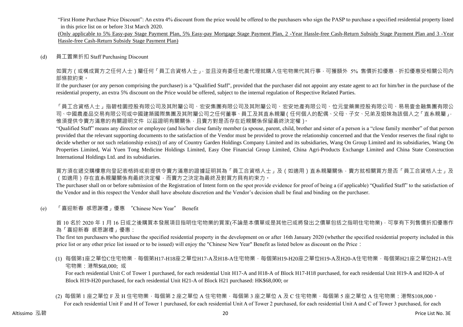"First Home Purchase Price Discount": An extra 4% discount from the price would be offered to the purchasers who sign the PASP to purchase a specified residential property listed in this price list on or before 31st March 2020.

(Only applicable to 5% Easy-pay Stage Payment Plan, 5% Easy-pay Mortgage Stage Payment Plan, 2 -Year Hassle-free Cash-Return Subsidy Stage Payment Plan and 3 -Year Hassle-free Cash-Return Subsidy Stage Payment Plan)

#### (d) 員工置業折扣 Staff Purchasing Discount

如買方(或構成買方之任何人士)屬任何「員工合資格人士」,並且沒有委任地產代理就購入住宅物業代其行事,可獲額外 5% 售價折扣優惠,折扣優惠受相關公司內 部條款約束。

If the purchaser (or any person comprising the purchaser) is a "Qualified Staff", provided that the purchaser did not appoint any estate agent to act for him/her in the purchase of the residential property, an extra 5% discount on the Price would be offered, subject to the internal regulation of Respective Related Parties.

「員工合資格人士」指碧桂園控股有限公司及其附屬公司、宏安集團有限公司及其附屬公司、宏安地產有限公司、位元堂藥業控股有限公司、易易壹金融集團有限公 司、中國農產品交易有限公司或中國建築國際集團及其附屬公司之任何董事、員工及其直系親屬(任何個人的配偶、父母、子女、兄弟及姐妹為該個人之「直系親屬」, 惟須提供令賣方滿意的有關證明文件 以茲證明有關關係,且賣方對是否存在近親關係保留最終決定權)。

"Qualified Staff" means any director or employee (and his/her close family member (a spouse, parent, child, brother and sister of a person is a "close family member" of that person provided that the relevant supporting documents to the satisfaction of the Vendor must be provided to prove the relationship concerned and that the Vendor reserves the final right to decide whether or not such relationship exists)) of any of Country Garden Holdings Company Limited and its subsidiaries, Wang On Group Limited and its subsidiaries, Wang On Properties Limited, Wai Yuen Tong Medicine Holdings Limited, Easy One Financial Group Limited, China Agri-Products Exchange Limited and China State Construction International Holdings Ltd. and its subsidiaries.

買方須在遞交購樓意向登記表格時或前提供令賣方滿意的證據証明其為「員工合資格人士」及(如適用)直系親屬關係,賣方就相關買方是否「員工合資格人士」及 (如適用)存在直系親屬關係有最終決定權,而賣方之決定為最終及對買方具有約束力。

The purchaser shall on or before submission of the Registration of Intent form on the spot provide evidence for proof of being a (if applicable) "Qualified Staff" to the satisfaction of the Vendor and in this respect the Vendor shall have absolute discretion and the Vendor's decision shall be final and binding on the purchaser.

(e) 「喜迎新春 感恩謝禮」優惠 "Chinese New Year" Benefit

首 10 名於 2020 年 1 月 16 日或之後購買本發展項目指明住宅物業的買家(不論是本價單或是其他已或將發出之價單包括之指明住宅物業),可享有下列售價折扣優惠作 為「喜迎新春 感恩謝禮」優惠:

The first ten purchasers who purchase the specified residential property in the development on or after 16th January 2020 (whether the specified residential property included in this price list or any other price list issued or to be issued) will enjoy the "Chinese New Year" Benefit as listed below as discount on the Price:

(1) 每個第1座之單位C住宅物業,每個第H17-H18座之單位H17-A及H18-A住宅物業,每個第H19-H20座之單位H19-A及H20-A住宅物業,每個第H21座之單位H21-A住 宅物業:港幣\$68,000; 或

For each residential Unit C of Tower 1 purchased, for each residential Unit H17-A and H18-A of Block H17-H18 purchased, for each residential Unit H19-A and H20-A of Block H19-H20 purchased, for each residential Unit H21-A of Block H21 purchased: HK\$68,000; or

(2) 每個第 1 座之單位 F 及 H 住宅物業,每個第 2 座之單位 A 住宅物業,每個第 3 座之單位 A 及 C 住宅物業,每個第 5 座之單位 A 住宅物業:港幣\$108,000。 For each residential Unit F and H of Tower 1 purchased, for each residential Unit A of Tower 2 purchased, for each residential Unit A and C of Tower 3 purchased, for each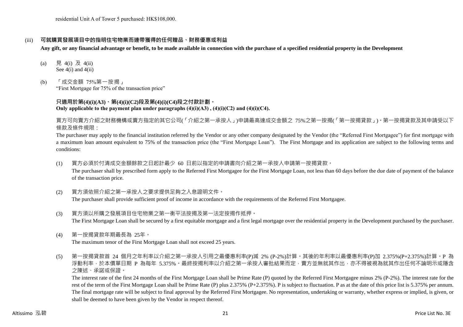residential Unit A of Tower 5 purchased: HK\$108,000.

#### (iii) **可就購買發展項目中的指明住宅物業而連帶獲得的任何贈品、財務優惠或利益**

**Any gift, or any financial advantage or benefit, to be made available in connection with the purchase of a specified residential property in the Development**

- (a) 見 4(i) 及 4(ii) See  $4(i)$  and  $4(ii)$
- (b) 「成交金額 75%第一按揭」 "First Mortgage for 75% of the transaction price"

#### **只適用於第(4)(i)(A3)、第(4)(i)(C2)段及第(4)(i)(C4)段之付款計劃。** Only applicable to the payment plan under paragraphs  $(4)(i)(A3)$ ,  $(4)(i)(C2)$  and  $(4)(i)(C4)$ .

買方可向賣方介紹之財務機構或賣方指定的其它公司(「介紹之第一承按人」)申請最高達成交金額之 75%之第一按揭(「第一按揭貸款」)。第一按揭貸款及其申請受以下 條款及條件規限:

The purchaser may apply to the financial institution referred by the Vendor or any other company designated by the Vendor (the "Referred First Mortgagee") for first mortgage with a maximum loan amount equivalent to 75% of the transaction price (the "First Mortgage Loan"). The First Mortgage and its application are subject to the following terms and conditions:

- (1) 買方必須於付清成交金額餘款之日起計最少 60 日前以指定的申請書向介紹之第一承按人申請第一按揭貸款。 The purchaser shall by prescribed form apply to the Referred First Mortgagee for the First Mortgage Loan, not less than 60 days before the due date of payment of the balance of the transaction price.
- (2) 買方須依照介紹之第一承按人之要求提供足夠之入息證明文件。 The purchaser shall provide sufficient proof of income in accordance with the requirements of the Referred First Mortgagee.
- (3) 買方須以所購之發展項目住宅物業之第一衡平法按揭及第一法定按揭作抵押。 The First Mortgage Loan shall be secured by a first equitable mortgage and a first legal mortgage over the residential property in the Development purchased by the purchaser.
- (4) 第一按揭貸款年期最長為 25年。

The maximum tenor of the First Mortgage Loan shall not exceed 25 years.

(5) 第一按揭貸款首 24 個月之年利率以介紹之第一承按人引用之最優惠利率(P)減 2% (P-2%)計算。其後的年利率以最優惠利率(P)加 2.375%(P+2.375%)計算。P 為 浮動利率,於本價單日期 P 為每年 5.375%。最終按揭利率以介紹之第一承按人審批結果而定,賣方並無就其作出,亦不得被視為就其作出任何不論明示或隱含 之陳述、承諾或保證。

The interest rate of the first 24 months of the First Mortgage Loan shall be Prime Rate (P) quoted by the Referred First Mortgagee minus 2% (P-2%). The interest rate for the rest of the term of the First Mortgage Loan shall be Prime Rate (P) plus 2.375% (P+2.375%). P is subject to fluctuation. P as at the date of this price list is 5.375% per annum. The final mortgage rate will be subject to final approval by the Referred First Mortgagee. No representation, undertaking or warranty, whether express or implied, is given, or shall be deemed to have been given by the Vendor in respect thereof.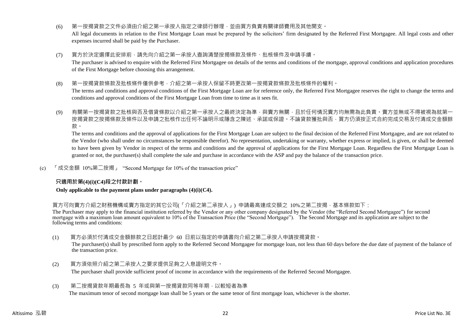(6) 第一按揭貸款之文件必須由介紹之第一承按人指定之律師行辦理,並由買方負責有關律師費用及其他開支。

All legal documents in relation to the First Mortgage Loan must be prepared by the solicitors' firm designated by the Referred First Mortgagee. All legal costs and other expenses incurred shall be paid by the Purchaser.

(7) 買方於決定選擇此安排前,請先向介紹之第一承按人查詢清楚按揭條款及條件、批核條件及申請手續。

The purchaser is advised to enquire with the Referred First Mortgagee on details of the terms and conditions of the mortgage, approval conditions and application procedures of the First Mortgage before choosing this arrangement.

(8) 第一按揭貸款條款及批核條件僅供參考,介紹之第一承按人保留不時更改第一按揭貸款條款及批核條件的權利。

The terms and conditions and approval conditions of the First Mortgage Loan are for reference only, the Referred First Mortgagee reserves the right to change the terms and conditions and approval conditions of the First Mortgage Loan from time to time as it sees fit.

(9) 有關第一按揭貸款之批核與否及借貸條款以介紹之第一承按人之最終決定為準,與賣方無關,且於任何情況賣方均無需為此負責。賣方並無或不得被視為就第一 按揭貸款之按揭條款及條件以及申請之批核作出任何不論明示或隱含之陳述、承諾或保證。不論貸款獲批與否,買方仍須按正式合約完成交易及付清成交金額餘 款。

The terms and conditions and the approval of applications for the First Mortgage Loan are subject to the final decision of the Referred First Mortgagee, and are not related to the Vendor (who shall under no circumstances be responsible therefor). No representation, undertaking or warranty, whether express or implied, is given, or shall be deemed to have been given by Vendor in respect of the terms and conditions and the approval of applications for the First Mortgage Loan. Regardless the First Mortgage Loan is granted or not, the purchaser(s) shall complete the sale and purchase in accordance with the ASP and pay the balance of the transaction price.

(c) 「成交金額 10%第二按揭」 "Second Mortgage for 10% of the transaction price"

# **只適用於第(4)(i)(C4)段之付款計劃。**

#### **Only applicable to the payment plans under paragraphs (4)(i)(C4).**

買方可向賣方介紹之財務機構或賣方指定的其它公司(「介紹之第二承按人」) 申請最高達成交額之 10%之第二按揭,基本條款如下:

The Purchaser may apply to the financial institution referred by the Vendor or any other company designated by the Vendor (the "Referred Second Mortgagee") for second mortgage with a maximum loan amount equivalent to 10% of the Transaction Price (the "Second Mortgage"). The Second Mortgage and its application are subject to the following terms and conditions:

(1) 買方必須於付清成交金額餘款之日起計最少 60 日前以指定的申請書向介紹之第二承按人申請按揭貸款。

The purchaser(s) shall by prescribed form apply to the Referred Second Mortgagee for mortgage loan, not less than 60 days before the due date of payment of the balance of the transaction price.

- (2) 買方須依照介紹之第二承按人之要求提供足夠之入息證明文件。 The purchaser shall provide sufficient proof of income in accordance with the requirements of the Referred Second Mortgagee.
- (3) 第二按揭貸款年期最長為 5 年或與第一按揭貸款同等年期,以較短者為準

The maximum tenor of second mortgage loan shall be 5 years or the same tenor of first mortgage loan, whichever is the shorter.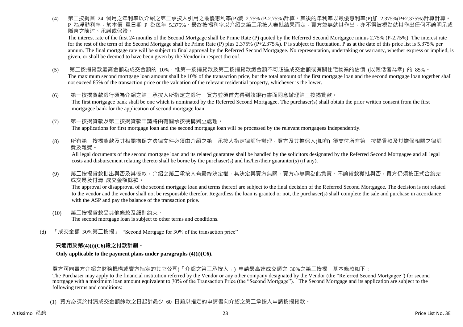(4) 第二按揭首 24 個月之年利率以介紹之第二承按人引用之最優惠利率(P)減 2.75% (P-2.75%)計算。其後的年利率以最優惠利率(P)加 2.375%(P+2.375%)計算計算。 P 為浮動利率,於本價 單日期 P 為每年 5.375%。最終按揭利率以介紹之第二承按人審批結果而定,賣方並無就其作出,亦不得被視為就其作出任何不論明示或 隱含之陳述、承諾或保證。

The interest rate of the first 24 months of the Second Mortgage shall be Prime Rate (P) quoted by the Referred Second Mortgagee minus 2.75% (P-2.75%). The interest rate for the rest of the term of the Second Mortgage shall be Prime Rate (P) plus 2.375% (P+2.375%). P is subject to fluctuation. P as at the date of this price list is 5.375% per annum. The final mortgage rate will be subject to final approval by the Referred Second Mortgagee. No representation, undertaking or warranty, whether express or implied, is given, or shall be deemed to have been given by the Vendor in respect thereof.

- (5) 第二按揭貸款最高金額為成交金額的 10%,惟第一按揭貸款及第二按揭貸款總金額不可超過成交金額或有關住宅物業的估價 (以較低者為準) 的 85%。 The maximum second mortgage loan amount shall be 10% of the transaction price, but the total amount of the first mortgage loan and the second mortgage loan together shall not exceed 85% of the transaction price or the valuation of the relevant residential property, whichever is the lower.
- (6) 第一按揭貸款銀行須為介紹之第二承按人所指定之銀行,買方並須首先得到該銀行書面同意辦理第二按揭貸款。 The first mortgagee bank shall be one which is nominated by the Referred Second Mortgagee. The purchaser(s) shall obtain the prior written consent from the first mortgagee bank for the application of second mortgage loan.
- (7) 第一按揭貸款及第二按揭貸款申請將由有關承按機構獨立處理。 The applications for first mortgage loan and the second mortgage loan will be processed by the relevant mortgagees independently.
- (8) 所有第二按揭貸款及其相關擔保之法律文件必須由介紹之第二承按人指定律師行辦理,買方及其擔保人(如有) 須支付所有第二按揭貸款及其擔保相關之律師 費及雜費。

All legal documents of the second mortgage loan and its related guarantee shall be handled by the solicitors designated by the Referred Second Mortgagee and all legal costs and disbursement relating thereto shall be borne by the purchaser(s) and his/her/their guarantor(s) (if any).

(9) 第二按揭貸款批出與否及其條款,介紹之第二承按人有最終決定權,其決定與賣方無關,賣方亦無需為此負責。不論貸款獲批與否,買方仍須按正式合約完 成交易及付清 成交金額餘款。

The approval or disapproval of the second mortgage loan and terms thereof are subject to the final decision of the Referred Second Mortgagee. The decision is not related to the vendor and the vendor shall not be responsible therefor. Regardless the loan is granted or not, the purchaser(s) shall complete the sale and purchase in accordance with the ASP and pay the balance of the transaction price.

- (10) 第二按揭貸款受其他條款及細則約束。 The second mortgage loan is subject to other terms and conditions.
- (d) 「成交金額 30%第二按揭」 "Second Mortgage for 30% of the transaction price"

# **只適用於第(4)(i)(C6)段之付款計劃。**

**Only applicable to the payment plans under paragraphs (4)(i)(C6).**

買方可向賣方介紹之財務機構或賣方指定的其它公司(「介紹之第二承按人」) 申請最高達成交額之 30%之第二按揭,基本條款如下:

The Purchaser may apply to the financial institution referred by the Vendor or any other company designated by the Vendor (the "Referred Second Mortgagee") for second mortgage with a maximum loan amount equivalent to 30% of the Transaction Price (the "Second Mortgage"). The Second Mortgage and its application are subject to the following terms and conditions:

(1) 買方必須於付清成交金額餘款之日起計最少 60 日前以指定的申請書向介紹之第二承按人申請按揭貸款。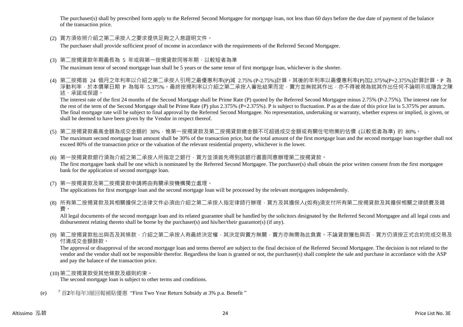The purchaser(s) shall by prescribed form apply to the Referred Second Mortgagee for mortgage loan, not less than 60 days before the due date of payment of the balance of the transaction price.

(2) 買方須依照介紹之第二承按人之要求提供足夠之入息證明文件。

The purchaser shall provide sufficient proof of income in accordance with the requirements of the Referred Second Mortgagee.

(3) 第二按揭貸款年期最長為 5 年或與第一按揭貸款同等年期,以較短者為準

The maximum tenor of second mortgage loan shall be 5 years or the same tenor of first mortgage loan, whichever is the shorter.

(4) 第二按揭首 24 個月之年利率以介紹之第二承按人引用之最優惠利率(P)減 2.75% (P-2.75%)計算。其後的年利率以最優惠利率(P)加2.375%(P+2.375%)計算計算。P 為 浮動利率,於本價單日期 P 為每年 5.375%。最終按揭利率以介紹之第二承按人審批結果而定,賣方並無就其作出,亦不得被視為就其作出任何不論明示或隱含之陳 述、承諾或保證。

The interest rate of the first 24 months of the Second Mortgage shall be Prime Rate (P) quoted by the Referred Second Mortgagee minus 2.75% (P-2.75%). The interest rate for the rest of the term of the Second Mortgage shall be Prime Rate (P) plus 2.375% (P+2.375%). P is subject to fluctuation. P as at the date of this price list is 5.375% per annum. The final mortgage rate will be subject to final approval by the Referred Second Mortgagee. No representation, undertaking or warranty, whether express or implied, is given, or shall be deemed to have been given by the Vendor in respect thereof.

(5) 第二按揭貸款最高金額為成交金額的 30%,惟第一按揭貸款及第二按揭貸款總金額不可超過成交金額或有關住宅物業的估價 (以較低者為準) 的 80%。 The maximum second mortgage loan amount shall be 30% of the transaction price, but the total amount of the first mortgage loan and the second mortgage loan together shall not exceed 80% of the transaction price or the valuation of the relevant residential property, whichever is the lower.

(6) 第一按揭貸款銀行須為介紹之第二承按人所指定之銀行,買方並須首先得到該銀行書面同意辦理第二按揭貸款。 The first mortgagee bank shall be one which is nominated by the Referred Second Mortgagee. The purchaser(s) shall obtain the prior written consent from the first mortgagee bank for the application of second mortgage loan.

- (7) 第一按揭貸款及第二按揭貸款申請將由有關承按機構獨立處理。 The applications for first mortgage loan and the second mortgage loan will be processed by the relevant mortgagees independently.
- (8) 所有第二按揭貸款及其相關擔保之法律文件必須由介紹之第二承按人指定律師行辦理,買方及其擔保人(如有)須支付所有第二按揭貸款及其擔保相關之律師費及雜 費。

All legal documents of the second mortgage loan and its related guarantee shall be handled by the solicitors designated by the Referred Second Mortgagee and all legal costs and disbursement relating thereto shall be borne by the purchaser(s) and his/her/their guarantor(s) (if any).

(9) 第二按揭貸款批出與否及其條款,介紹之第二承按人有最終決定權,其決定與賣方無關,賣方亦無需為此負責。不論貸款獲批與否,買方仍須按正式合約完成交易及 付清成交金額餘款。

The approval or disapproval of the second mortgage loan and terms thereof are subject to the final decision of the Referred Second Mortgagee. The decision is not related to the vendor and the vendor shall not be responsible therefor. Regardless the loan is granted or not, the purchaser(s) shall complete the sale and purchase in accordance with the ASP and pay the balance of the transaction price.

(10)第二按揭貸款受其他條款及細則約束。

The second mortgage loan is subject to other terms and conditions.

(e) 「首**2**年每年3厘回報補貼優惠 "First Two Year Return Subsidy at 3% p.a. Benefit "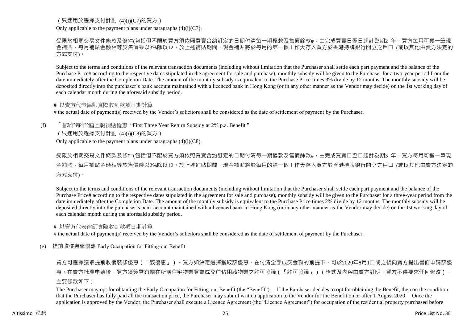# (只適用於選擇支付計劃 (4)(i)(C7)的買方)

Only applicable to the payment plans under paragraphs  $(4)(i)(C7)$ .

受限於相關交易文件條款及條件(包括但不限於買方須依照買賣合約訂定的日期付清每一期樓款及售價餘款#,由完成買賣日翌日起計為期2 年,買方每月可獲一筆現 金補貼,每月補貼金額相等於售價乘以3%除以12。於上述補貼期間,現金補貼將於每月的第一個工作天存入買方於香港持牌銀行開立之戶口 (或以其他由賣方決定的 方式支付)。

Subject to the terms and conditions of the relevant transaction documents (including without limitation that the Purchaser shall settle each part payment and the balance of the Purchase Price# according to the respective dates stipulated in the agreement for sale and purchase), monthly subsidy will be given to the Purchaser for a two-year period from the date immediately after the Completion Date. The amount of the monthly subsidy is equivalent to the Purchase Price times 3% divide by 12 months. The monthly subsidy will be deposited directly into the purchaser's bank account maintained with a licenced bank in Hong Kong (or in any other manner as the Vendor may decide) on the 1st working day of each calendar month during the aforesaid subsidy period.

#### **#** 以賣方代表律師實際收到款項日期計算

# the actual date of payment(s) received by the Vendor's solicitors shall be considered as the date of settlement of payment by the Purchaser.

(f) 「首**3**年每年2厘回報補貼優惠 "First Three Year Return Subsidy at 2% p.a. Benefit "

(只適用於選擇支付計劃 (4)(i)(C8)的買方)

Only applicable to the payment plans under paragraphs  $(4)(i)(C8)$ .

受限於相關交易文件條款及條件(包括但不限於買方須依照買賣合約訂定的日期付清每一期樓款及售價餘款#,由完成買賣日翌日起計為期3 年,買方每月可獲一筆現 金補貼,每月補貼金額相等於售價乘以2%除以12。於上述補貼期間,現金補貼將於每月的第一個工作天存入買方於香港持牌銀行開立之戶口 (或以其他由賣方決定的 方式支付)。

Subject to the terms and conditions of the relevant transaction documents (including without limitation that the Purchaser shall settle each part payment and the balance of the Purchase Price# according to the respective dates stipulated in the agreement for sale and purchase), monthly subsidy will be given to the Purchaser for a three-year period from the date immediately after the Completion Date. The amount of the monthly subsidy is equivalent to the Purchase Price times 2% divide by 12 months. The monthly subsidy will be deposited directly into the purchaser's bank account maintained with a licenced bank in Hong Kong (or in any other manner as the Vendor may decide) on the 1st working day of each calendar month during the aforesaid subsidy period.

#### **#** 以賣方代表律師實際收到款項日期計算

# the actual date of payment(s) received by the Vendor's solicitors shall be considered as the date of settlement of payment by the Purchaser.

(g) 提前收樓裝修優惠 Early Occupation for Fitting-out Benefit

買方可選擇獲取提前收樓裝修優惠(「該優惠」)。買方如決定選擇獲取該優惠,在付清全部成交金額的前提下,可於2020年8月1日或之後向賣方提出書面申請該優 惠。在賣方批准申請後,買方須簽署有關在所購住宅物業買賣成交前佔用該物業之許可協議(「許可協議」)(格式及內容由賣方訂明,買方不得要求任何修改), 主要條款如下:

The Purchaser may opt for obtaining the Early Occupation for Fitting-out Benefit (the "Benefit"). If the Purchaser decides to opt for obtaining the Benefit, then on the condition that the Purchaser has fully paid all the transaction price, the Purchaser may submit written application to the Vendor for the Benefit on or after 1 August 2020. Once the application is approved by the Vendor, the Purchaser shall execute a Licence Agreement (the "Licence Agreement") for occupation of the residential property purchased before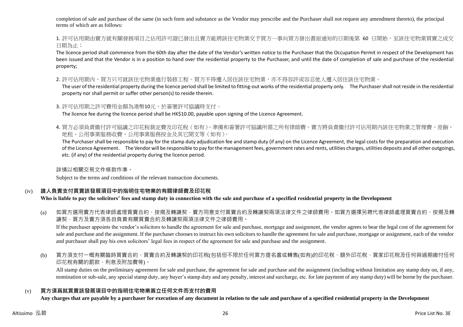completion of sale and purchase of the same (in such form and substance as the Vendor may prescribe and the Purchaser shall not request any amendment thereto), the principal terms of which are as follows:

1. 許可佔用期由賣方就有關發展項目之佔用許可證已發出且賣方能將該住宅物業交予買方一事向買方發出書面通知的日期後第 60 日開始,至該住宅物業買賣之成交 日期為止;

The licence period shall commence from the 60th day after the date of the Vendor's written notice to the Purchaser that the Occupation Permit in respect of the Development has been issued and that the Vendor is in a position to hand over the residential property to the Purchaser, and until the date of completion of sale and purchase of the residential property;

2. 許可佔用期内,買方只可就該住宅物業進行裝修工程。買方不得遷入居住該住宅物業,亦不得容許或容忍他人遷入居住該住宅物業。

The user of the residential property during the licence period shall be limited to fitting-out works of the residential property only. The Purchaser shall not reside in the residential property nor shall permit or suffer other person(s) to reside therein.

3. 許可佔用期之許可費用金額為港幣10元,於簽署許可協議時支付。

The licence fee during the licence period shall be HK\$10.00, payable upon signing of the Licence Agreement.

4. 買方必須負責繳付許可協議之印花稅裁定費及印花稅(如有)、準備和簽署許可協議所需之所有律師費。賣方將負責繳付許可佔用期內該住宅物業之管理費、差餉、 地租、公用事業服務收費、公用事業服務按金及其它開支等(如有)。

The Purchaser shall be responsible to pay for the stamp duty adjudication fee and stamp duty (if any) on the Licence Agreement, the legal costs for the preparation and execution of the Licence Agreement. The Vendor will be responsible to pay for the management fees, government rates and rents, utilities charges, utilities deposits and all other outgoings, etc. (if any) of the residential property during the licence period.

詳情以相關交易文件條款作準。

Subject to the terms and conditions of the relevant transaction documents.

# (iv) **誰人負責支付買賣該發展項目中的指明住宅物業的有關律師費及印花稅**

# **Who is liable to pay the solicitors' fees and stamp duty in connection with the sale and purchase of a specified residential property in the Development**

(a) 如買方選用賣方代表律師處理買賣合約、按揭及轉讓契‧賣方同意支付買賣合約及轉讓契兩項法律文件之律師費用。如買方選擇另聘代表律師處理買賣合約、按揭及轉 讓契,買方及賣方須各自負責有關買賣合約及轉讓契兩項法律文件之律師費用。

If the purchaser appoints the vendor's solicitors to handle the agreement for sale and purchase, mortgage and assignment, the vendor agrees to bear the legal cost of the agreement for sale and purchase and the assignment. If the purchaser chooses to instruct his own solicitors to handle the agreement for sale and purchase, mortgage or assignment, each of the vendor and purchaser shall pay his own solicitors' legal fees in respect of the agreement for sale and purchase and the assignment.

(b) 買方須支付一概有關臨時買賣合約、買賣合約及轉讓契的印花稅(包括但不限於任何買方提名書或轉售(如有)的印花稅、額外印花稅、買家印花稅及任何與過期繳付任何 印花稅有關的罰款、利息及附加費等)。

All stamp duties on the preliminary agreement for sale and purchase, the agreement for sale and purchase and the assignment (including without limitation any stamp duty on, if any, nomination or sub-sale, any special stamp duty, any buyer's stamp duty and any penalty, interest and surcharge, etc. for late payment of any stamp duty) will be borne by the purchaser.

# (v) **買方須爲就買賣該發展項目中的指明住宅物業簽立任何文件而支付的費用**

**Any charges that are payable by a purchaser for execution of any document in relation to the sale and purchase of a specified residential property in the Development**